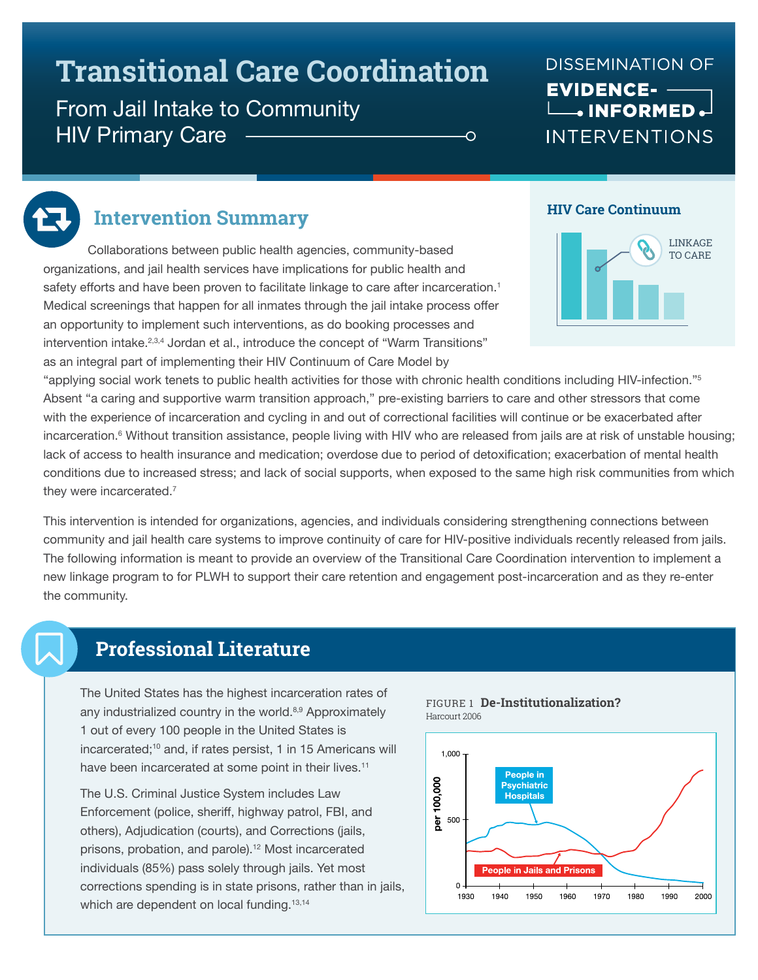# **Transitional Care Coordination**

# From Jail Intake to Community **HIV Primary Care**

### **DISSEMINATION OF EVIDENCE-** $\Box$ . INFORMED. **INTERVENTIONS**



### **Intervention Summary**

Collaborations between public health agencies, community-based organizations, and jail health services have implications for public health and safety efforts and have been proven to facilitate linkage to care after incarceration.<sup>1</sup> Medical screenings that happen for all inmates through the jail intake process offer an opportunity to implement such interventions, as do booking processes and intervention intake.2,3,4 Jordan et al., introduce the concept of "Warm Transitions" as an integral part of implementing their HIV Continuum of Care Model by

### **HIV Care Continuum**



"applying social work tenets to public health activities for those with chronic health conditions including HIV-infection."5 Absent "a caring and supportive warm transition approach," pre-existing barriers to care and other stressors that come with the experience of incarceration and cycling in and out of correctional facilities will continue or be exacerbated after incarceration.6 Without transition assistance, people living with HIV who are released from jails are at risk of unstable housing; lack of access to health insurance and medication; overdose due to period of detoxification; exacerbation of mental health conditions due to increased stress; and lack of social supports, when exposed to the same high risk communities from which they were incarcerated.<sup>7</sup>

Ó

This intervention is intended for organizations, agencies, and individuals considering strengthening connections between community and jail health care systems to improve continuity of care for HIV-positive individuals recently released from jails. The following information is meant to provide an overview of the Transitional Care Coordination intervention to implement a new linkage program to for PLWH to support their care retention and engagement post-incarceration and as they re-enter the community.

### **Professional Literature**

The United States has the highest incarceration rates of any industrialized country in the world.<sup>8,9</sup> Approximately 1 out of every 100 people in the United States is incarcerated;<sup>10</sup> and, if rates persist, 1 in 15 Americans will have been incarcerated at some point in their lives.<sup>11</sup>

The U.S. Criminal Justice System includes Law Enforcement (police, sheriff, highway patrol, FBI, and others), Adjudication (courts), and Corrections (jails, prisons, probation, and parole).<sup>12</sup> Most incarcerated individuals (85%) pass solely through jails. Yet most corrections spending is in state prisons, rather than in jails, which are dependent on local funding.<sup>13,14</sup>



#### FIGURE 1 **De-Institutionalization?**  Harcourt 2006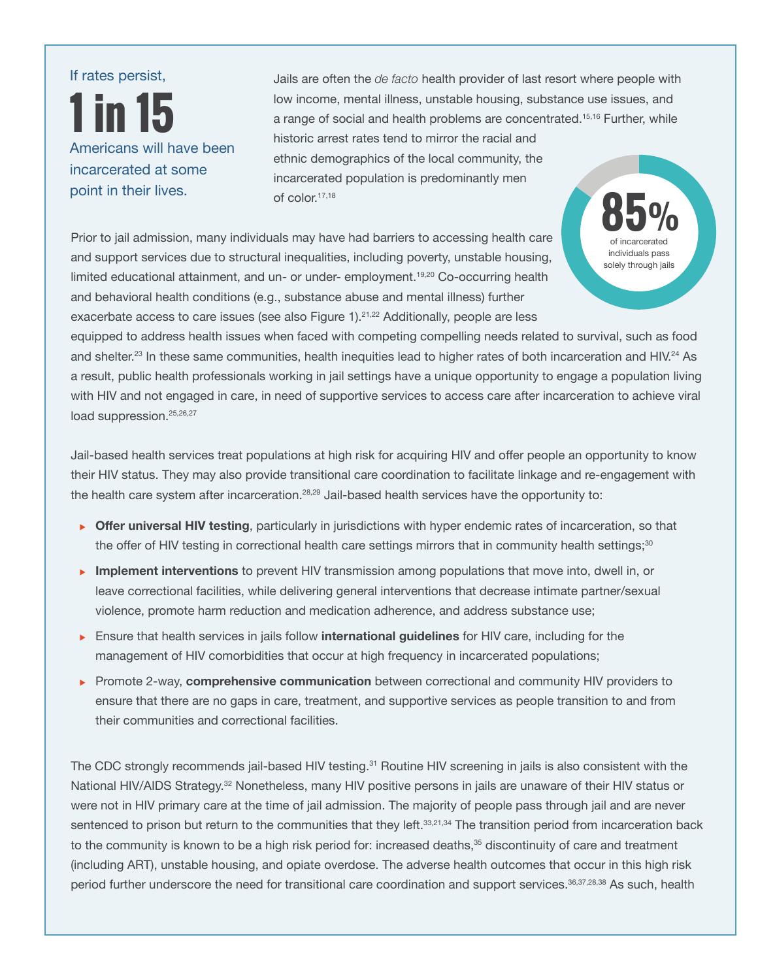# If rates persist, **1 in 15**  Americans will have been incarcerated at some point in their lives.

Jails are often the *de facto* health provider of last resort where people with low income, mental illness, unstable housing, substance use issues, and a range of social and health problems are concentrated.15,16 Further, while historic arrest rates tend to mirror the racial and ethnic demographics of the local community, the incarcerated population is predominantly men of color.17,18

Prior to jail admission, many individuals may have had barriers to accessing health care and support services due to structural inequalities, including poverty, unstable housing, limited educational attainment, and un- or under- employment.<sup>19,20</sup> Co-occurring health and behavioral health conditions (e.g., substance abuse and mental illness) further exacerbate access to care issues (see also Figure 1).<sup>21,22</sup> Additionally, people are less

**85** of incarcerated **%** individuals pass solely through jails

equipped to address health issues when faced with competing compelling needs related to survival, such as food and shelter.<sup>23</sup> In these same communities, health inequities lead to higher rates of both incarceration and HIV.<sup>24</sup> As a result, public health professionals working in jail settings have a unique opportunity to engage a population living with HIV and not engaged in care, in need of supportive services to access care after incarceration to achieve viral load suppression.<sup>25,26,27</sup>

Jail-based health services treat populations at high risk for acquiring HIV and offer people an opportunity to know their HIV status. They may also provide transitional care coordination to facilitate linkage and re-engagement with the health care system after incarceration.<sup>28,29</sup> Jail-based health services have the opportunity to:

- **Offer universal HIV testing**, particularly in jurisdictions with hyper endemic rates of incarceration, so that the offer of HIV testing in correctional health care settings mirrors that in community health settings;<sup>30</sup>
- **Implement interventions** to prevent HIV transmission among populations that move into, dwell in, or leave correctional facilities, while delivering general interventions that decrease intimate partner/sexual violence, promote harm reduction and medication adherence, and address substance use;
- <sup>u</sup> Ensure that health services in jails follow **international guidelines** for HIV care, including for the management of HIV comorbidities that occur at high frequency in incarcerated populations;
- <sup>u</sup> Promote 2-way, **comprehensive communication** between correctional and community HIV providers to ensure that there are no gaps in care, treatment, and supportive services as people transition to and from their communities and correctional facilities.

The CDC strongly recommends jail-based HIV testing.<sup>31</sup> Routine HIV screening in jails is also consistent with the National HIV/AIDS Strategy.<sup>32</sup> Nonetheless, many HIV positive persons in jails are unaware of their HIV status or were not in HIV primary care at the time of jail admission. The majority of people pass through jail and are never sentenced to prison but return to the communities that they left.<sup>33,21,34</sup> The transition period from incarceration back to the community is known to be a high risk period for: increased deaths,<sup>35</sup> discontinuity of care and treatment (including ART), unstable housing, and opiate overdose. The adverse health outcomes that occur in this high risk period further underscore the need for transitional care coordination and support services.<sup>36,37,28,38</sup> As such, health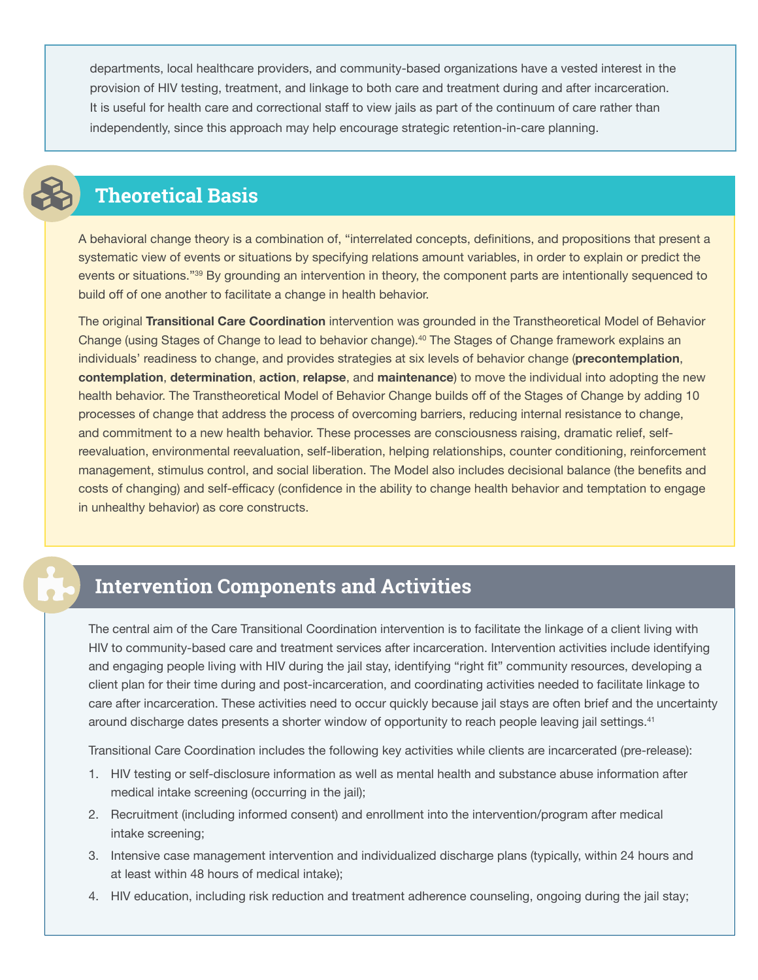departments, local healthcare providers, and community-based organizations have a vested interest in the provision of HIV testing, treatment, and linkage to both care and treatment during and after incarceration. It is useful for health care and correctional staff to view jails as part of the continuum of care rather than independently, since this approach may help encourage strategic retention-in-care planning.



# **Theoretical Basis**

A behavioral change theory is a combination of, "interrelated concepts, definitions, and propositions that present a systematic view of events or situations by specifying relations amount variables, in order to explain or predict the events or situations."39 By grounding an intervention in theory, the component parts are intentionally sequenced to build off of one another to facilitate a change in health behavior.

The original **Transitional Care Coordination** intervention was grounded in the Transtheoretical Model of Behavior Change (using Stages of Change to lead to behavior change).40 The Stages of Change framework explains an individuals' readiness to change, and provides strategies at six levels of behavior change (**precontemplation**, **contemplation**, **determination**, **action**, **relapse**, and **maintenance**) to move the individual into adopting the new health behavior. The Transtheoretical Model of Behavior Change builds off of the Stages of Change by adding 10 processes of change that address the process of overcoming barriers, reducing internal resistance to change, and commitment to a new health behavior. These processes are consciousness raising, dramatic relief, selfreevaluation, environmental reevaluation, self-liberation, helping relationships, counter conditioning, reinforcement management, stimulus control, and social liberation. The Model also includes decisional balance (the benefits and costs of changing) and self-efficacy (confidence in the ability to change health behavior and temptation to engage in unhealthy behavior) as core constructs.

# **Intervention Components and Activities**

The central aim of the Care Transitional Coordination intervention is to facilitate the linkage of a client living with HIV to community-based care and treatment services after incarceration. Intervention activities include identifying and engaging people living with HIV during the jail stay, identifying "right fit" community resources, developing a client plan for their time during and post-incarceration, and coordinating activities needed to facilitate linkage to care after incarceration. These activities need to occur quickly because jail stays are often brief and the uncertainty around discharge dates presents a shorter window of opportunity to reach people leaving jail settings.<sup>41</sup>

Transitional Care Coordination includes the following key activities while clients are incarcerated (pre-release):

- 1. HIV testing or self-disclosure information as well as mental health and substance abuse information after medical intake screening (occurring in the jail);
- 2. Recruitment (including informed consent) and enrollment into the intervention/program after medical intake screening;
- 3. Intensive case management intervention and individualized discharge plans (typically, within 24 hours and at least within 48 hours of medical intake);
- 4. HIV education, including risk reduction and treatment adherence counseling, ongoing during the jail stay;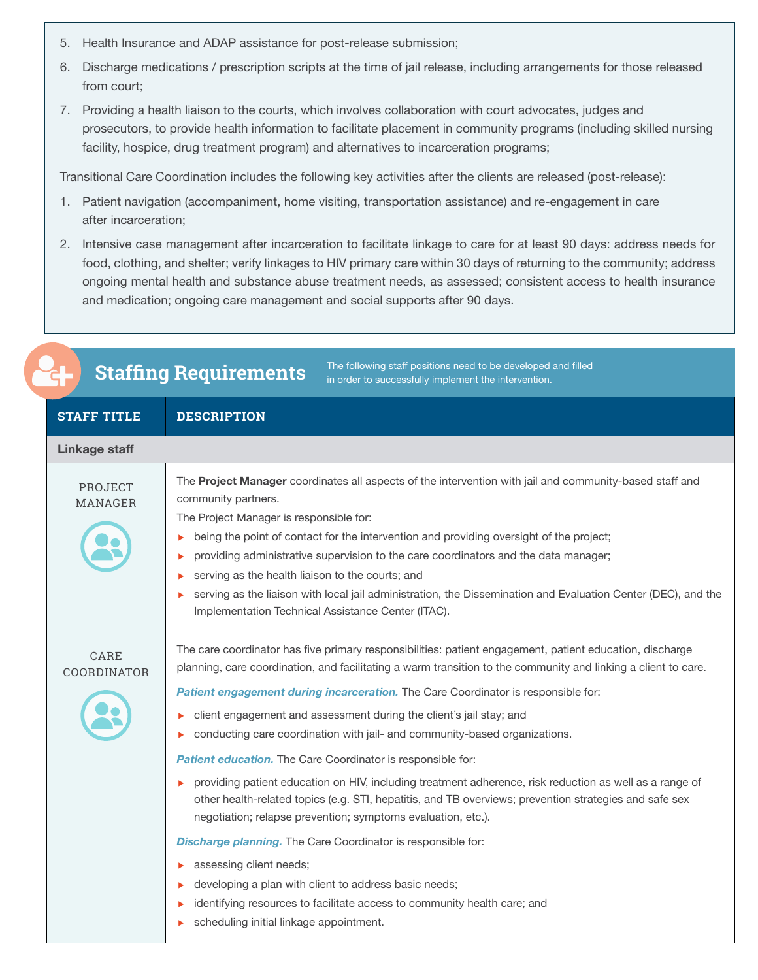- 5. Health Insurance and ADAP assistance for post-release submission;
- 6. Discharge medications / prescription scripts at the time of jail release, including arrangements for those released from court;
- 7. Providing a health liaison to the courts, which involves collaboration with court advocates, judges and prosecutors, to provide health information to facilitate placement in community programs (including skilled nursing facility, hospice, drug treatment program) and alternatives to incarceration programs;

Transitional Care Coordination includes the following key activities after the clients are released (post-release):

- 1. Patient navigation (accompaniment, home visiting, transportation assistance) and re-engagement in care after incarceration;
- 2. Intensive case management after incarceration to facilitate linkage to care for at least 90 days: address needs for food, clothing, and shelter; verify linkages to HIV primary care within 30 days of returning to the community; address ongoing mental health and substance abuse treatment needs, as assessed; consistent access to health insurance and medication; ongoing care management and social supports after 90 days.

| The following staff positions need to be developed and filled<br><b>Staffing Requirements</b><br>in order to successfully implement the intervention.                                                                                                                                                                                                                                                                                                                                                                                                                                                                                                                                                                                                                                                                                                                                                                                                                                                                                                              |  |  |
|--------------------------------------------------------------------------------------------------------------------------------------------------------------------------------------------------------------------------------------------------------------------------------------------------------------------------------------------------------------------------------------------------------------------------------------------------------------------------------------------------------------------------------------------------------------------------------------------------------------------------------------------------------------------------------------------------------------------------------------------------------------------------------------------------------------------------------------------------------------------------------------------------------------------------------------------------------------------------------------------------------------------------------------------------------------------|--|--|
| <b>DESCRIPTION</b>                                                                                                                                                                                                                                                                                                                                                                                                                                                                                                                                                                                                                                                                                                                                                                                                                                                                                                                                                                                                                                                 |  |  |
| <b>Linkage staff</b>                                                                                                                                                                                                                                                                                                                                                                                                                                                                                                                                                                                                                                                                                                                                                                                                                                                                                                                                                                                                                                               |  |  |
| The <b>Project Manager</b> coordinates all aspects of the intervention with jail and community-based staff and<br>community partners.<br>The Project Manager is responsible for:<br>being the point of contact for the intervention and providing oversight of the project;<br>▶<br>providing administrative supervision to the care coordinators and the data manager;<br>serving as the health liaison to the courts; and<br>serving as the liaison with local jail administration, the Dissemination and Evaluation Center (DEC), and the<br>▶<br>Implementation Technical Assistance Center (ITAC).                                                                                                                                                                                                                                                                                                                                                                                                                                                            |  |  |
| The care coordinator has five primary responsibilities: patient engagement, patient education, discharge<br>planning, care coordination, and facilitating a warm transition to the community and linking a client to care.<br>Patient engagement during incarceration. The Care Coordinator is responsible for:<br>client engagement and assessment during the client's jail stay; and<br>▶<br>conducting care coordination with jail- and community-based organizations.<br>▶<br>Patient education. The Care Coordinator is responsible for:<br>providing patient education on HIV, including treatment adherence, risk reduction as well as a range of<br>other health-related topics (e.g. STI, hepatitis, and TB overviews; prevention strategies and safe sex<br>negotiation; relapse prevention; symptoms evaluation, etc.).<br>Discharge planning. The Care Coordinator is responsible for:<br>assessing client needs;<br>developing a plan with client to address basic needs;<br>identifying resources to facilitate access to community health care; and |  |  |
|                                                                                                                                                                                                                                                                                                                                                                                                                                                                                                                                                                                                                                                                                                                                                                                                                                                                                                                                                                                                                                                                    |  |  |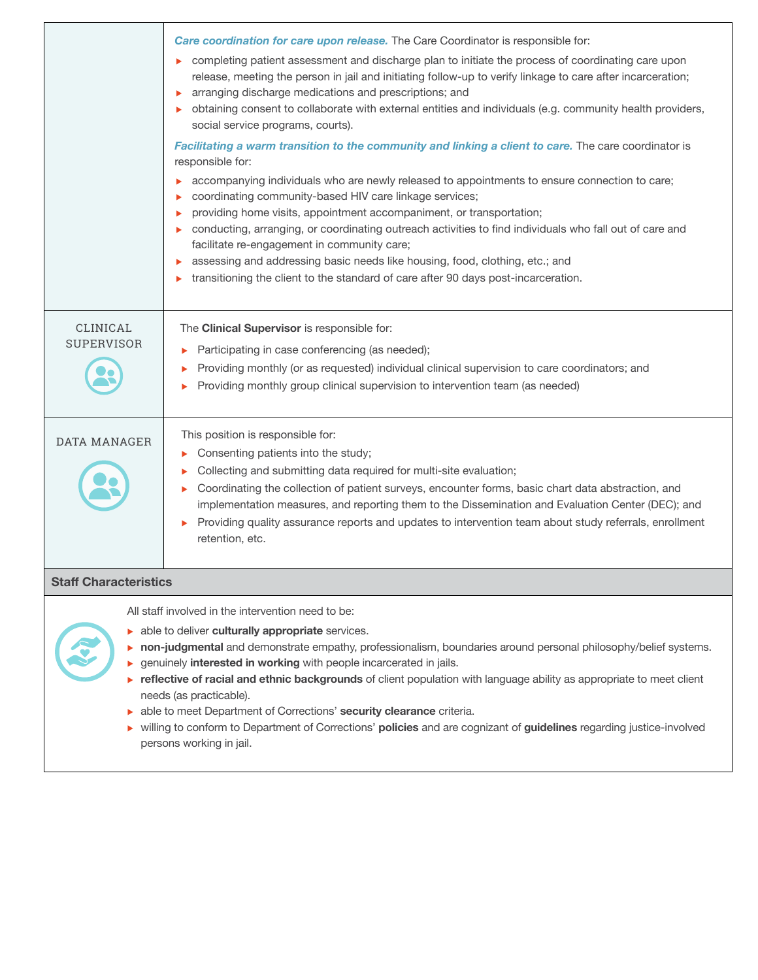|                                      | Care coordination for care upon release. The Care Coordinator is responsible for:<br>completing patient assessment and discharge plan to initiate the process of coordinating care upon<br>release, meeting the person in jail and initiating follow-up to verify linkage to care after incarceration;<br>arranging discharge medications and prescriptions; and<br>obtaining consent to collaborate with external entities and individuals (e.g. community health providers,<br>social service programs, courts).<br>Facilitating a warm transition to the community and linking a client to care. The care coordinator is<br>responsible for:<br>accompanying individuals who are newly released to appointments to ensure connection to care;<br>coordinating community-based HIV care linkage services;<br>providing home visits, appointment accompaniment, or transportation;<br>conducting, arranging, or coordinating outreach activities to find individuals who fall out of care and<br>facilitate re-engagement in community care;<br>assessing and addressing basic needs like housing, food, clothing, etc.; and<br>transitioning the client to the standard of care after 90 days post-incarceration. |
|--------------------------------------|---------------------------------------------------------------------------------------------------------------------------------------------------------------------------------------------------------------------------------------------------------------------------------------------------------------------------------------------------------------------------------------------------------------------------------------------------------------------------------------------------------------------------------------------------------------------------------------------------------------------------------------------------------------------------------------------------------------------------------------------------------------------------------------------------------------------------------------------------------------------------------------------------------------------------------------------------------------------------------------------------------------------------------------------------------------------------------------------------------------------------------------------------------------------------------------------------------------------|
| <b>CLINICAL</b><br><b>SUPERVISOR</b> | The Clinical Supervisor is responsible for:<br>Participating in case conferencing (as needed);<br>Providing monthly (or as requested) individual clinical supervision to care coordinators; and<br>Providing monthly group clinical supervision to intervention team (as needed)                                                                                                                                                                                                                                                                                                                                                                                                                                                                                                                                                                                                                                                                                                                                                                                                                                                                                                                                    |
| <b>DATA MANAGER</b>                  | This position is responsible for:<br>Consenting patients into the study;<br>▶<br>Collecting and submitting data required for multi-site evaluation;<br>Coordinating the collection of patient surveys, encounter forms, basic chart data abstraction, and<br>implementation measures, and reporting them to the Dissemination and Evaluation Center (DEC); and<br>Providing quality assurance reports and updates to intervention team about study referrals, enrollment<br>ь<br>retention, etc.                                                                                                                                                                                                                                                                                                                                                                                                                                                                                                                                                                                                                                                                                                                    |
| <b>Staff Characteristics</b>         |                                                                                                                                                                                                                                                                                                                                                                                                                                                                                                                                                                                                                                                                                                                                                                                                                                                                                                                                                                                                                                                                                                                                                                                                                     |
|                                      | All staff involved in the intervention need to be:<br>able to deliver culturally appropriate services.<br>non-judgmental and demonstrate empathy, professionalism, boundaries around personal philosophy/belief systems.<br>genuinely interested in working with people incarcerated in jails.<br>reflective of racial and ethnic backgrounds of client population with language ability as appropriate to meet client<br>needs (as practicable).<br>able to meet Department of Corrections' security clearance criteria.<br>willing to conform to Department of Corrections' policies and are cognizant of guidelines regarding justice-involved<br>persons working in jail.                                                                                                                                                                                                                                                                                                                                                                                                                                                                                                                                       |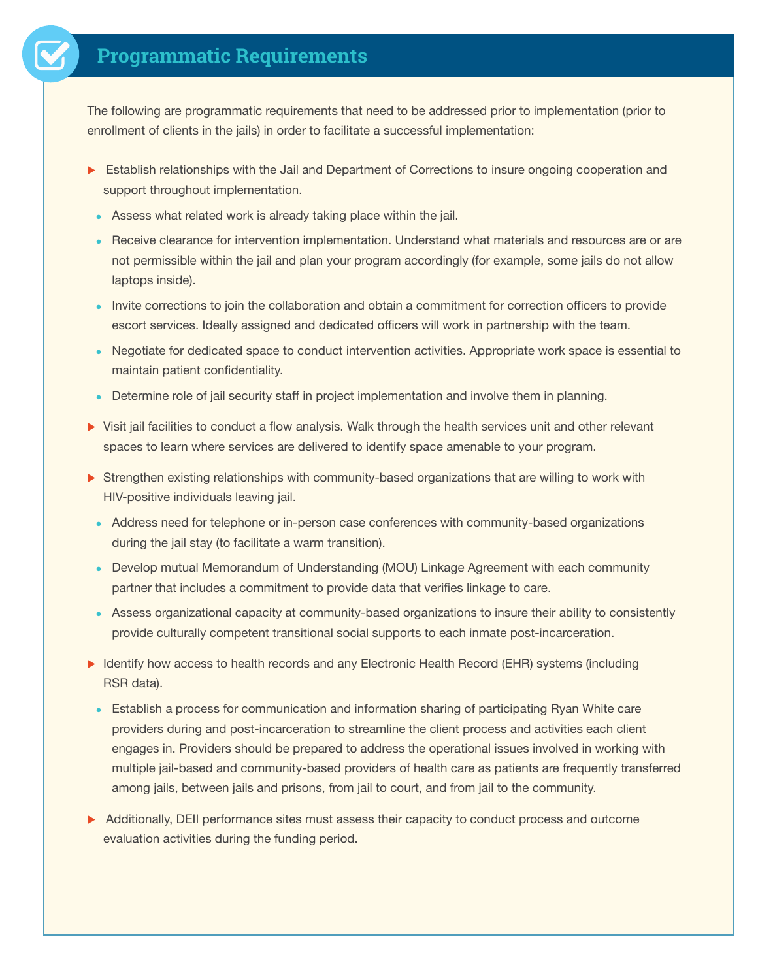# **Programmatic Requirements**

The following are programmatic requirements that need to be addressed prior to implementation (prior to enrollment of clients in the jails) in order to facilitate a successful implementation:

- Establish relationships with the Jail and Department of Corrections to insure ongoing cooperation and support throughout implementation.
- Assess what related work is already taking place within the jail.
- Receive clearance for intervention implementation. Understand what materials and resources are or are not permissible within the jail and plan your program accordingly (for example, some jails do not allow laptops inside).
- Invite corrections to join the collaboration and obtain a commitment for correction officers to provide escort services. Ideally assigned and dedicated officers will work in partnership with the team.
- Negotiate for dedicated space to conduct intervention activities. Appropriate work space is essential to maintain patient confidentiality.
- Determine role of jail security staff in project implementation and involve them in planning.
- In Visit jail facilities to conduct a flow analysis. Walk through the health services unit and other relevant spaces to learn where services are delivered to identify space amenable to your program.
- $\triangleright$  Strengthen existing relationships with community-based organizations that are willing to work with HIV-positive individuals leaving jail.
	- Address need for telephone or in-person case conferences with community-based organizations during the jail stay (to facilitate a warm transition).
	- Develop mutual Memorandum of Understanding (MOU) Linkage Agreement with each community partner that includes a commitment to provide data that verifies linkage to care.
- Assess organizational capacity at community-based organizations to insure their ability to consistently provide culturally competent transitional social supports to each inmate post-incarceration.
- Identify how access to health records and any Electronic Health Record (EHR) systems (including RSR data).
- **Establish a process for communication and information sharing of participating Ryan White care** providers during and post-incarceration to streamline the client process and activities each client engages in. Providers should be prepared to address the operational issues involved in working with multiple jail-based and community-based providers of health care as patients are frequently transferred among jails, between jails and prisons, from jail to court, and from jail to the community.
- $\triangleright$  Additionally, DEII performance sites must assess their capacity to conduct process and outcome evaluation activities during the funding period.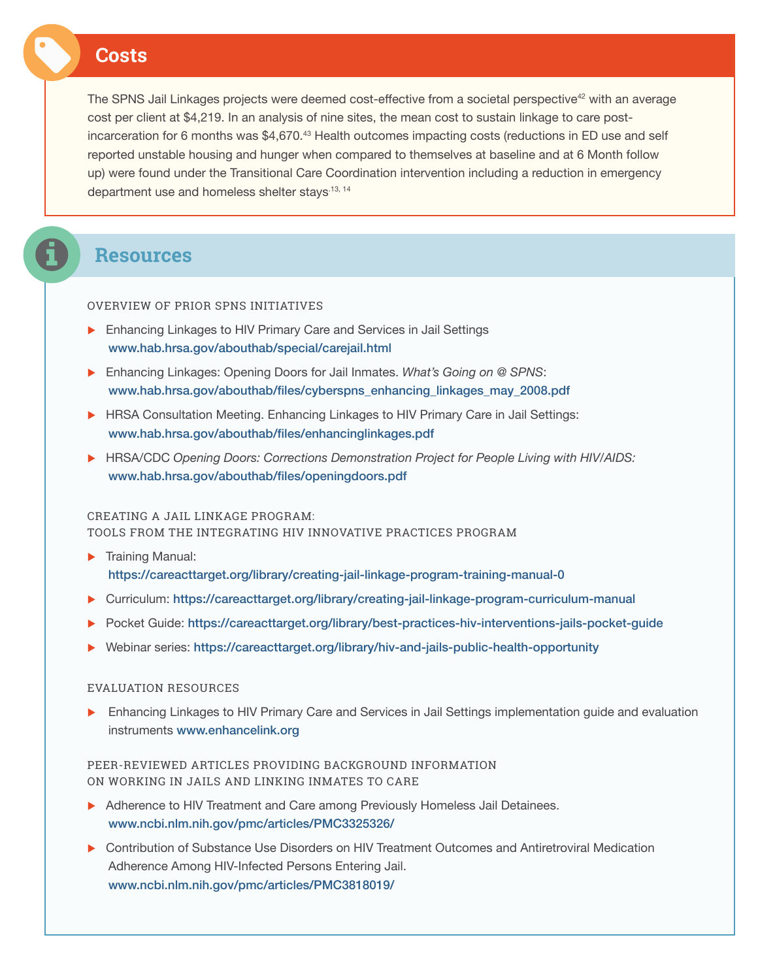### **Costs**

The SPNS Jail Linkages projects were deemed cost-effective from a societal perspective<sup>42</sup> with an average cost per client at \$4,219. In an analysis of nine sites, the mean cost to sustain linkage to care postincarceration for 6 months was \$4,670.<sup>43</sup> Health outcomes impacting costs (reductions in ED use and self reported unstable housing and hunger when compared to themselves at baseline and at 6 Month follow up) were found under the Transitional Care Coordination intervention including a reduction in emergency department use and homeless shelter stays<sup>-13, 14</sup>

### **Resources**

#### OVERVIEW OF PRIOR SPNS INITIATIVES

- $\blacktriangleright$  Enhancing Linkages to HIV Primary Care and Services in Jail Settings www.hab.hrsa.gov/abouthab/special/carejail.html
- **Enhancing Linkages: Opening Doors for Jail Inmates.** *What's Going on @ SPNS***:** www.hab.hrsa.gov/abouthab/files/cyberspns\_enhancing\_linkages\_may\_2008.pdf
- **EXECT:** HRSA Consultation Meeting. Enhancing Linkages to HIV Primary Care in Jail Settings: www.hab.hrsa.gov/abouthab/files/enhancinglinkages.pdf
- **EXECTIVE A HRSA/CDC** Opening Doors: Corrections Demonstration Project for People Living with HIV/AIDS: www.hab.hrsa.gov/abouthab/files/openingdoors.pdf

#### CREATING A JAIL LINKAGE PROGRAM:

TOOLS FROM THE INTEGRATING HIV INNOVATIVE PRACTICES PROGRAM

- $\blacktriangleright$  Training Manual: https://careacttarget.org/library/creating-jail-linkage-program-training-manual-0
- u Curriculum: https://careacttarget.org/library/creating-jail-linkage-program-curriculum-manual
- Pocket Guide: https://careacttarget.org/library/best-practices-hiv-interventions-jails-pocket-guide
- u Webinar series: https://careacttarget.org/library/hiv-and-jails-public-health-opportunity

#### EVALUATION RESOURCES

**E** Enhancing Linkages to HIV Primary Care and Services in Jail Settings implementation guide and evaluation instruments www.enhancelink.org

### PEER-REVIEWED ARTICLES PROVIDING BACKGROUND INFORMATION ON WORKING IN JAILS AND LINKING INMATES TO CARE

- Adherence to HIV Treatment and Care among Previously Homeless Jail Detainees. www.ncbi.nlm.nih.gov/pmc/articles/PMC3325326/
- **D** Contribution of Substance Use Disorders on HIV Treatment Outcomes and Antiretroviral Medication Adherence Among HIV-Infected Persons Entering Jail. www.ncbi.nlm.nih.gov/pmc/articles/PMC3818019/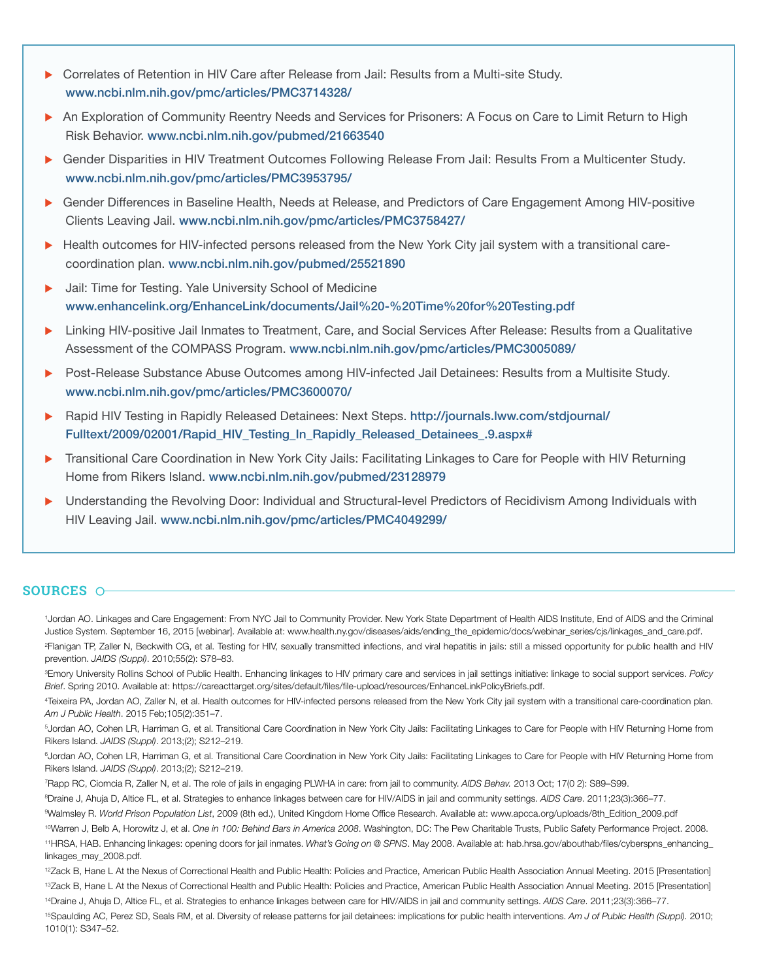- **D** Correlates of Retention in HIV Care after Release from Jail: Results from a Multi-site Study. www.ncbi.nlm.nih.gov/pmc/articles/PMC3714328/
- An Exploration of Community Reentry Needs and Services for Prisoners: A Focus on Care to Limit Return to High Risk Behavior. www.ncbi.nlm.nih.gov/pubmed/21663540
- Gender Disparities in HIV Treatment Outcomes Following Release From Jail: Results From a Multicenter Study. www.ncbi.nlm.nih.gov/pmc/articles/PMC3953795/
- Gender Differences in Baseline Health, Needs at Release, and Predictors of Care Engagement Among HIV-positive Clients Leaving Jail. www.ncbi.nlm.nih.gov/pmc/articles/PMC3758427/
- **EXECT HEALTH INCOMET STATE IN THE VERGON FINDITY CONTENT** HEALTH POST HIS HEALTH AUTOMOTIC ACTEcoordination plan. www.ncbi.nlm.nih.gov/pubmed/25521890
- Jail: Time for Testing. Yale University School of Medicine www.enhancelink.org/EnhanceLink/documents/Jail%20-%20Time%20for%20Testing.pdf
- Linking HIV-positive Jail Inmates to Treatment, Care, and Social Services After Release: Results from a Qualitative Assessment of the COMPASS Program. www.ncbi.nlm.nih.gov/pmc/articles/PMC3005089/
- Post-Release Substance Abuse Outcomes among HIV-infected Jail Detainees: Results from a Multisite Study. www.ncbi.nlm.nih.gov/pmc/articles/PMC3600070/
- Rapid HIV Testing in Rapidly Released Detainees: Next Steps. [http://journals.lww.com/stdjournal/](http://journals.lww.com/stdjournal/Fulltext/2009/02001/Rapid_HIV_Testing_In_Rapidly_Released_Detainees_.9.aspx%23) [Fulltext/2009/02001/Rapid\\_HIV\\_Testing\\_In\\_Rapidly\\_Released\\_Detainees\\_.9.aspx#](http://journals.lww.com/stdjournal/Fulltext/2009/02001/Rapid_HIV_Testing_In_Rapidly_Released_Detainees_.9.aspx%23)
- u Transitional Care Coordination in New York City Jails: Facilitating Linkages to Care for People with HIV Returning Home from Rikers Island. www.ncbi.nlm.nih.gov/pubmed/23128979
- u Understanding the Revolving Door: Individual and Structural-level Predictors of Recidivism Among Individuals with HIV Leaving Jail. www.ncbi.nlm.nih.gov/pmc/articles/PMC4049299/

### **SOURCES**

<sup>1</sup>Jordan AO. Linkages and Care Engagement: From NYC Jail to Community Provider. New York State Department of Health AIDS Institute, End of AIDS and the Criminal Justice System. September 16, 2015 [webinar]. Available at: www.health.ny.gov/diseases/aids/ending\_the\_epidemic/docs/webinar\_series/cjs/linkages\_and\_care.pdf. 2 Flanigan TP, Zaller N, Beckwith CG, et al. Testing for HIV, sexually transmitted infections, and viral hepatitis in jails: still a missed opportunity for public health and HIV prevention. *JAIDS (Suppl)*. 2010;55(2): S78–83.

3 Emory University Rollins School of Public Health. Enhancing linkages to HIV primary care and services in jail settings initiative: linkage to social support services. *Policy Brief*. Spring 2010. Available at: https://careacttarget.org/sites/default/files/file-upload/resources/EnhanceLinkPolicyBriefs.pdf.

4 Teixeira PA, Jordan AO, Zaller N, et al. Health outcomes for HIV-infected persons released from the New York City jail system with a transitional care-coordination plan. *Am J Public Health*. 2015 Feb;105(2):351–7.

5 Jordan AO, Cohen LR, Harriman G, et al. Transitional Care Coordination in New York City Jails: Facilitating Linkages to Care for People with HIV Returning Home from Rikers Island. *JAIDS (Suppl)*. 2013;(2); S212–219.

<sup>6</sup>Jordan AO, Cohen LR, Harriman G, et al. Transitional Care Coordination in New York City Jails: Facilitating Linkages to Care for People with HIV Returning Home from Rikers Island. *JAIDS (Suppl)*. 2013;(2); S212–219.

7 Rapp RC, Ciomcia R, Zaller N, et al. The role of jails in engaging PLWHA in care: from jail to community. *AIDS Behav.* 2013 Oct; 17(0 2): S89–S99.

8 Draine J, Ahuja D, Altice FL, et al. Strategies to enhance linkages between care for HIV/AIDS in jail and community settings. *AIDS Care*. 2011;23(3):366–77.

9 Walmsley R. *World Prison Population List*, 2009 (8th ed.), United Kingdom Home Office Research. Available at: www.apcca.org/uploads/8th\_Edition\_2009.pdf

10Warren J, Belb A, Horowitz J, et al. *One in 100: Behind Bars in America 2008*. Washington, DC: The Pew Charitable Trusts, Public Safety Performance Project. 2008. 11HRSA, HAB. Enhancing linkages: opening doors for jail inmates. *What's Going on @ SPNS*. May 2008. Available at: [hab.hrsa.gov/abouthab/files/cyberspns\\_enhancing\\_](hab.hrsa.gov/abouthab/files/cyberspns_enhancing_linkages_may_2008.pdf) [linkages\\_may\\_2008.pdf.](hab.hrsa.gov/abouthab/files/cyberspns_enhancing_linkages_may_2008.pdf)

<sup>12</sup>Zack B, Hane L At the Nexus of Correctional Health and Public Health: Policies and Practice, American Public Health Association Annual Meeting. 2015 [Presentation] 13Zack B, Hane L At the Nexus of Correctional Health and Public Health: Policies and Practice, American Public Health Association Annual Meeting. 2015 [Presentation] 14Draine J, Ahuja D, Altice FL, et al. Strategies to enhance linkages between care for HIV/AIDS in jail and community settings. *AIDS Care*. 2011;23(3):366–77.

<sup>15</sup>Spaulding AC, Perez SD, Seals RM, et al. Diversity of release patterns for jail detainees: implications for public health interventions. Am J of Public Health (Suppl). 2010; 1010(1): S347–52.